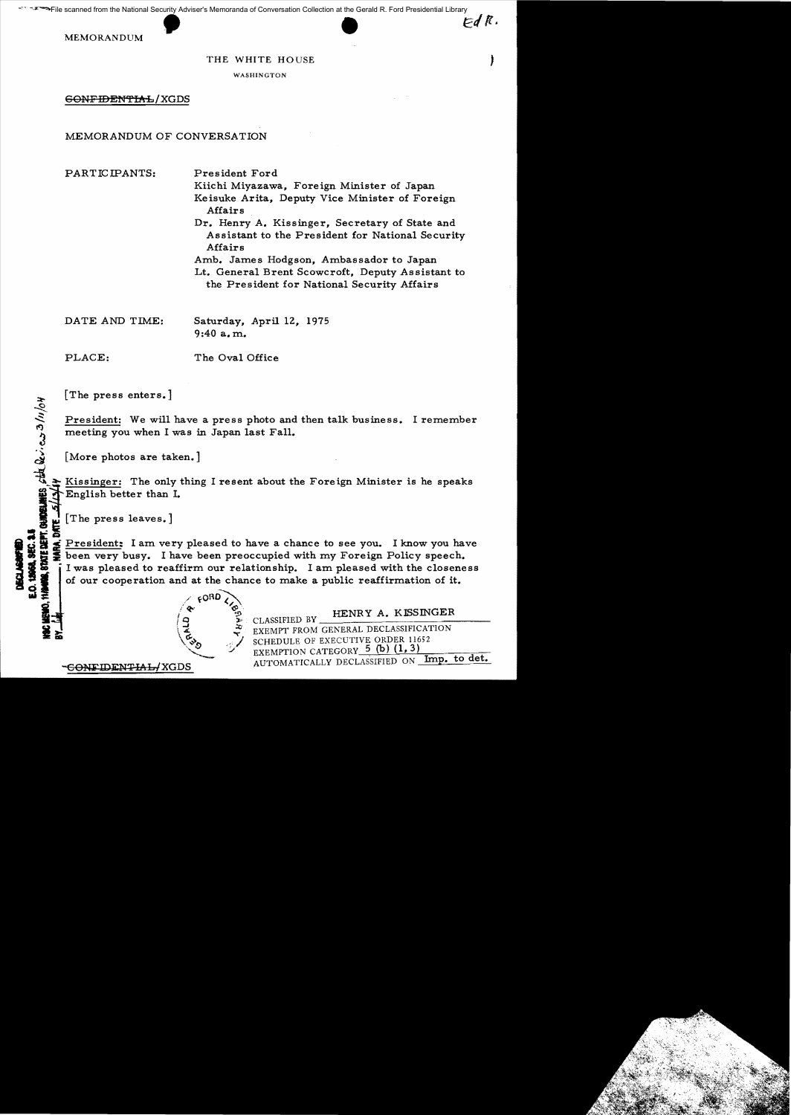## THE WHITE HOUSE

WASHINGTON

60NFIDENTIAL/XGDS

## MEMORANDUM OF CONVERSATION

PARTICIPANTS: President Ford

Kiichi Miyazawa, Foreign Minister of Japan Keisuke Arita, Deputy Vice Minister of Foreign Affairs Dr. Henry A. Kissinger, Secretary of State and

Assistant to the President for National Security Affairs Amb. James Hodgson, Ambassador to Japan

Lt. General Brent Scowcroft, Deputy As sistant to the President for National Security Affairs

DATE AND TIME: Saturday, April 12, 1975

9:40 a. m.

PLACE: The Oval Office

[The press enters.]

President: We will have a press photo and then talk business. I remember meeting you when I was in Japan last Fall.

[More photos are taken.]

Kissinger: The only thing I resent about the Foreign Minister is he speaks English better than I.

 $[The press leaves.]$ 

President: I am very pleased to have a chance to see you. I know you have Figure President: I am very pleased to have a chance to see you. I know you have<br>
so the president: I am very pleased to have a chance to see you. I know you have<br>
so the been very busy. I have been preoccupied with my For  $\frac{3}{2}$   $\frac{3}{2}$   $\frac{3}{2}$   $\frac{3}{2}$   $\frac{3}{2}$   $\frac{3}{2}$   $\frac{3}{2}$   $\frac{3}{2}$   $\frac{3}{2}$   $\frac{3}{2}$   $\frac{3}{2}$   $\frac{3}{2}$   $\frac{3}{2}$   $\frac{3}{2}$   $\frac{3}{2}$   $\frac{3}{2}$   $\frac{3}{2}$   $\frac{3}{2}$   $\frac{3}{2}$   $\frac{3}{2}$   $\frac{3}{2}$   $\frac{3}{2}$ 

JE CLASSIFIED BY THE CLASSIFICATION<br>EXEMPT FROM GENERAL DECLASSIFICATION<br>SCHEDULE OF EXECUTIVE ORDER 11652<br>EXEMPTION CATEGORY-5 (b) (1, 3)<br>AUTOMATICALLY DECLASSIFIED ON **Imp. to det.** 

CONTENTS states with easy 3/11/04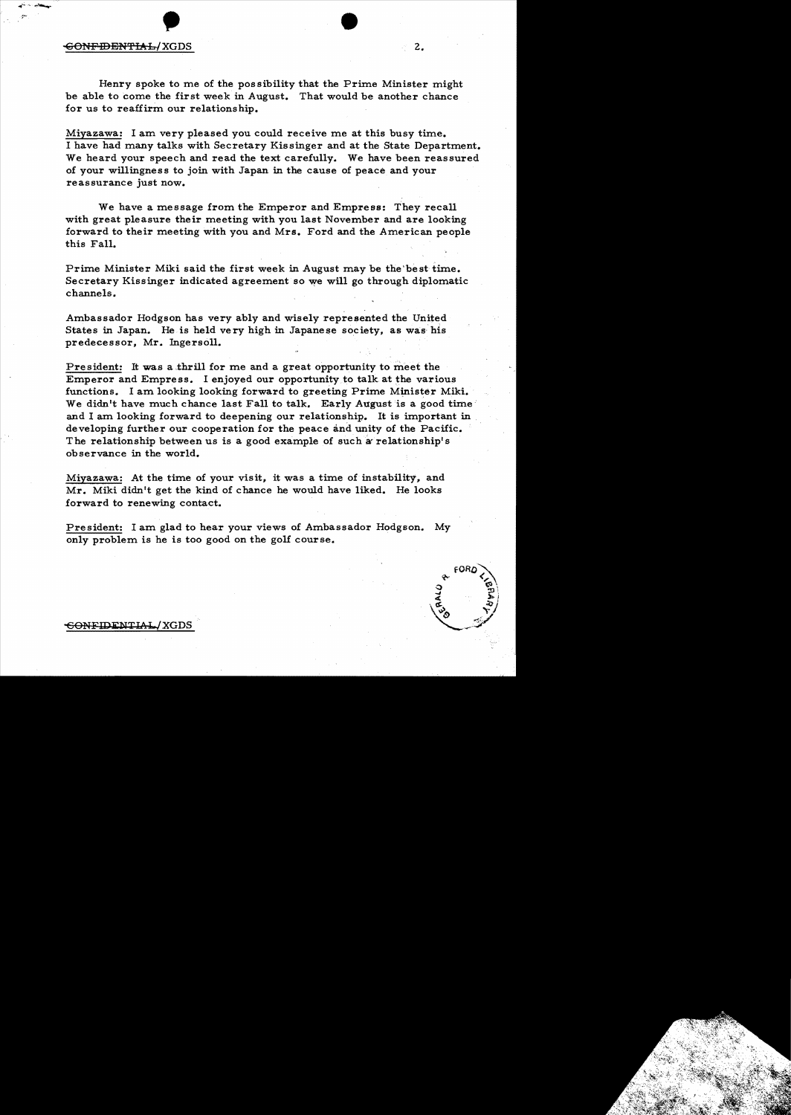## -GON<del>FIDENTIAL</del>/XGDS 2.

Henry spoke to me of the possibility that the Prime Minister might be able to come the first week in August. That would be another chance for us to reaffirm our relationship.

Miyazawa: I am very pleased you could receive me at this busy time. I have had many talks with Secretary Kissinger and at the State Department. We heard your speech and read the text carefully. We have been reassured of your willingness to join with Japan in the cause of peace and your reassurance just now.

We have a message from the Emperor and Empress: They recall with great pleasure their meeting with you last November and are looking forward to their meeting with you and Mrs. Ford and the American people this Fall.

Prime Minister Miki said the first week in August may be the'besttime. Secretary Kissinger indicated agreement so we will go through diplomatic channels.

Ambassador Hodgson has very ably and wisely represented the United States in Japan. He is held very high in Japanese society, as was' his predeeessor, Mr. Ingersoll.

President: It was a thrill for me and a great opportunity to meet the Emperor and Empress. I enjoyed our opportunity to talk at the various functions. I am looking looking forward to greeting Prime Minister Miki. We didn't have much chance last Fall to talk. Early August is a good time and I am looking forward to deepening our relationship. It is important in developing further our cooperation for the peace and unity of the Pacific. The relationship between us is a good example of such a relationship's observance in the world.

Miyazawa: At the time of your visit, it was a time of instability, and Mr. Miki didn't get the kind of chance he would have liked. He looks forward to renewing contact.

President: I am glad to hear your views of Ambassador Hodgson. My only problem is he is too good on the golf course.



GONFIDENTIAL/XGDS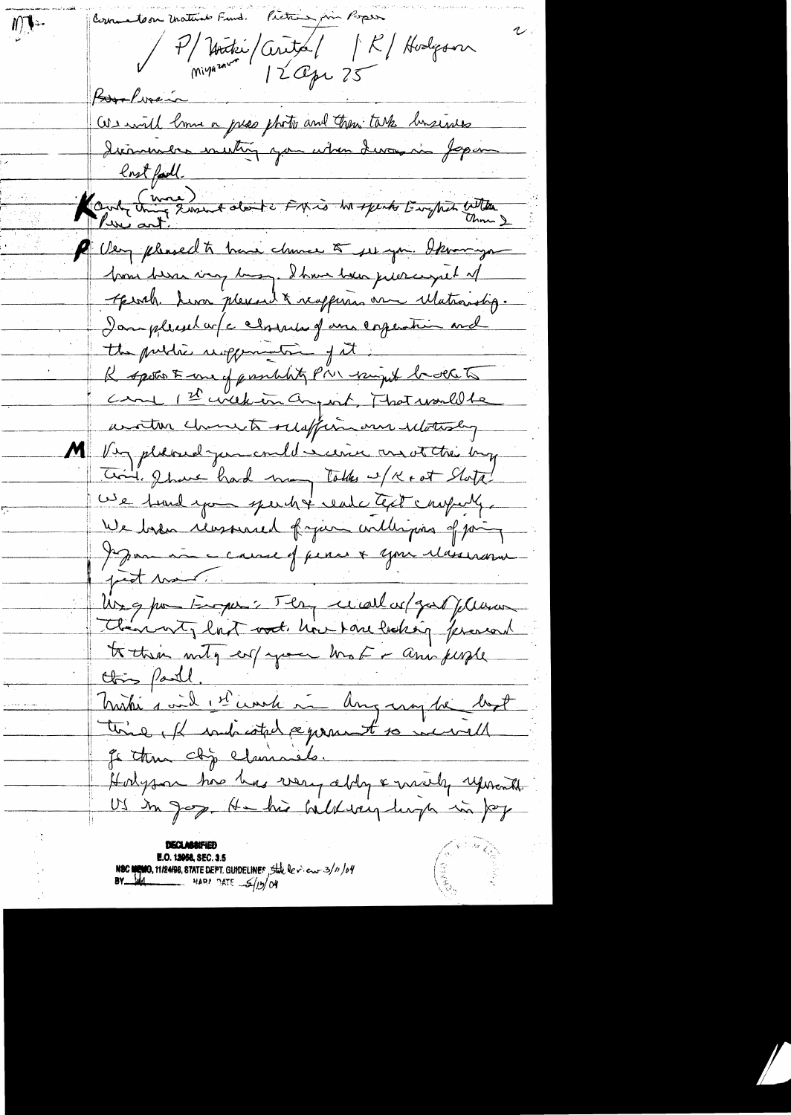Cornerator materials Fund. Picture fin Poper  $M^{\text{L}}$ P/ Hother / Cerita / R/ Hodgover Bookvein We will lime a pres photo and then take business lost fail. 11 11 11 P Very pleased to have chance to see you. Iknow you home been ving being. I have been pierce great of throth Liva pleased & reappears are Matroirotip. I amplicator /c character of an experiment and the public supponent of it R spokent une of prombaty Prin winget bedelets Came 1st wick in any int, That would be written church relaffin our ilotesly M Very placed juncould seeine and at the buy Coint, I have had many talks w/ K + ot Stata! We tund you spend of read ctest company. We base reasonal fran willigens of point Jepan au cause of pense & your réviseance just moin Ung pour Eugen: Jen ce all ce / gard plusion Clannet, last vod. hove tone lasking ferand to their mity en/your broke animale this partl. Mistre 1 vil 1 et courte une danguage de bout time, Il indicated segrament so incorrell Je thun chip claimsels. Hodyson has has very ably & meety reposent **E.O. 12058, SEC. 3.5** NSC MEMO, 11/24/98, STATE DEPT. GUIDELINES, State de v. en 3/11/04<br>BY MAL NARA DATE S/13/04